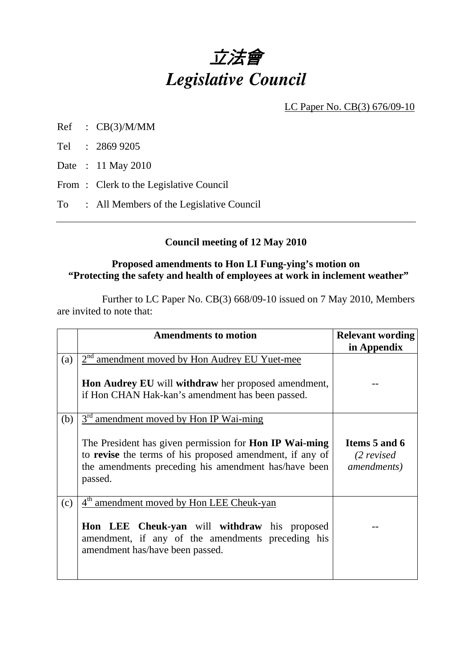

LC Paper No. CB(3) 676/09-10

- Ref : CB(3)/M/MM
- Tel : 2869 9205

Date : 11 May 2010

- From: Clerk to the Legislative Council
- To : All Members of the Legislative Council

## **Council meeting of 12 May 2010**

### **Proposed amendments to Hon LI Fung-ying's motion on "Protecting the safety and health of employees at work in inclement weather"**

 Further to LC Paper No. CB(3) 668/09-10 issued on 7 May 2010, Members are invited to note that:

|     | <b>Amendments to motion</b>                                                                                                                                                                                                                        | <b>Relevant wording</b>                              |
|-----|----------------------------------------------------------------------------------------------------------------------------------------------------------------------------------------------------------------------------------------------------|------------------------------------------------------|
|     |                                                                                                                                                                                                                                                    | in Appendix                                          |
| (a) | 2 <sup>nd</sup> amendment moved by Hon Audrey EU Yuet-mee<br><b>Hon Audrey EU</b> will <b>withdraw</b> her proposed amendment,<br>if Hon CHAN Hak-kan's amendment has been passed.                                                                 |                                                      |
| (b) | 3 <sup>rd</sup> amendment moved by Hon IP Wai-ming<br>The President has given permission for <b>Hon IP Wai-ming</b><br>to revise the terms of his proposed amendment, if any of<br>the amendments preceding his amendment has/have been<br>passed. | Items 5 and 6<br>$(2$ revised<br><i>amendments</i> ) |
| (c) | 4 <sup>th</sup> amendment moved by Hon LEE Cheuk-yan<br>Hon LEE Cheuk-yan will withdraw his proposed<br>amendment, if any of the amendments preceding his<br>amendment has/have been passed.                                                       |                                                      |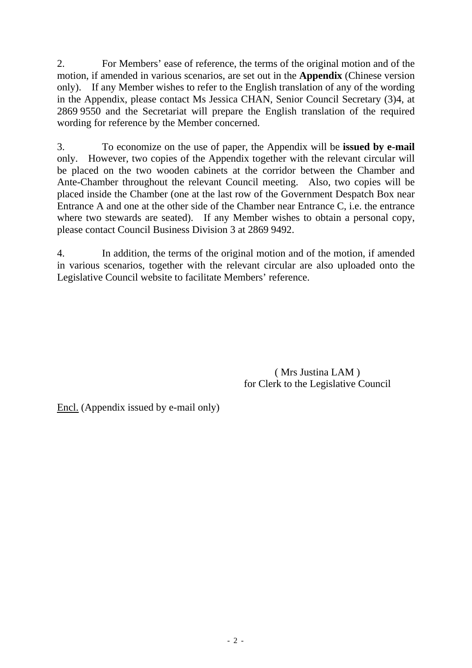2. For Members' ease of reference, the terms of the original motion and of the motion, if amended in various scenarios, are set out in the **Appendix** (Chinese version only). If any Member wishes to refer to the English translation of any of the wording in the Appendix, please contact Ms Jessica CHAN, Senior Council Secretary (3)4, at 2869 9550 and the Secretariat will prepare the English translation of the required wording for reference by the Member concerned.

3. To economize on the use of paper, the Appendix will be **issued by e-mail** only. However, two copies of the Appendix together with the relevant circular will be placed on the two wooden cabinets at the corridor between the Chamber and Ante-Chamber throughout the relevant Council meeting. Also, two copies will be placed inside the Chamber (one at the last row of the Government Despatch Box near Entrance A and one at the other side of the Chamber near Entrance C, i.e. the entrance where two stewards are seated). If any Member wishes to obtain a personal copy, please contact Council Business Division 3 at 2869 9492.

4. In addition, the terms of the original motion and of the motion, if amended in various scenarios, together with the relevant circular are also uploaded onto the Legislative Council website to facilitate Members' reference.

> ( Mrs Justina LAM ) for Clerk to the Legislative Council

Encl. (Appendix issued by e-mail only)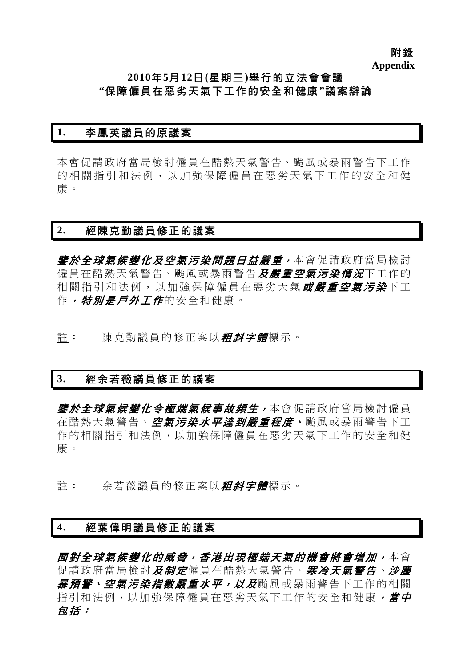附錄 **Appendix** 

# **2010**年**5**月**12**日**(**星期三**)**舉行的立法會會議 **"**保障僱員在惡劣天氣下工作的安全和健康**"**議案辯論

### **1.** 李鳳英議員的原議案

本會促請政府當局檢討僱員在酷熱天氣警告、颱風或暴雨警告下工作 的相關指引和法例,以加強保障僱員在惡劣天氣下工作的安全和健 康。

### **2.** 經陳克勤議員修正的議案

*鑒於全球氣候變化及空氣污染問題日益嚴重,***本會促請政府當局檢討** 僱員在酷熱天氣警告、颱風或暴雨警告*及嚴重空氣污染情況*下工作的 相關指引和法例,以加強保障僱員在惡劣天氣或嚴重空氣污染下工 作,特別是戶外工作的安全和健康。

註: 陳克勤議員的修正案以*粗斜字體*標示。

## **3.** 經余若薇議員修正的議案

*鑒於全球氣候變化令極端氣候事故頻生,***本會促請政府當局檢討僱員** 在酷熱天氣警告、空氣污染水平達*到嚴重程度、*颱風或暴雨警告下工 作的相關指引和法例,以加強保障僱員在惡劣天氣下工作的安全和健 康。

註: 余若薇議員的修正案以*粗斜字體*標示。

### **4.** 經葉偉明議員修正的議案

*面對全球氣候變化的威脅,香港出現極端天氣的機會將會增加,*本會 促請政府當局檢討及制定僱員在酷熱天氣警告、寒冷天氣警告、沙塵 *暴預警、空氣污染指數嚴重水平,以及*颱風或暴雨警告下工作的相關 指引和法例,以加強保障僱員在惡劣天氣下工作的安全和健康,當中 包括: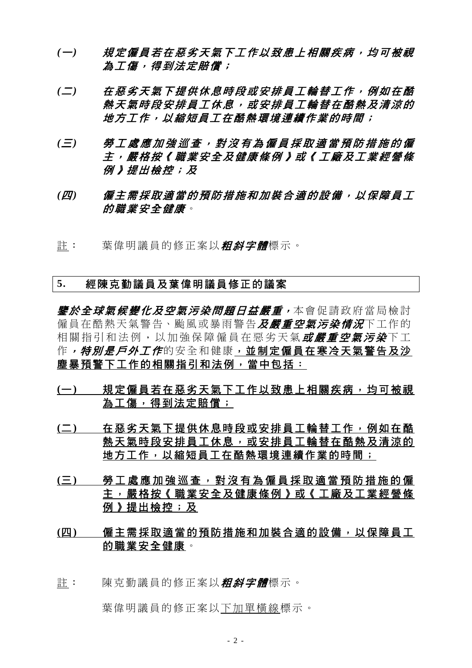- *(*一*)* 規定僱員若在惡劣天氣下工作以致患上相關疾病,均可被視 為工傷,得到法定賠償;
- *(*二*)* 在惡劣天氣下提供休息時段或安排員工輪替工作,例如在酷 熱天氣時段安排員工休息,或安排員工輪替在酷熱及清涼的 地方工作,以縮短員工在酷熱環境連續作業的時間;
- *(*三*)* 勞工處應加強巡查,對沒有為僱員採取適當預防措施的僱 主,嚴格按《職業安全及健康條例》或《工廠及工業經營條 例》提出檢控;及
- *(*四*)* 僱主需採取適當的預防措施和加裝合適的設備,以保障員工 的職業安全健康。
- 許: 葉偉明議員的修正案以*粗斜字體*標示。

### **5.** 經陳克勤議員及葉偉明議員修正的議案

*鑒於全球氣候變化及空氣污染問題日益嚴重,***本會促請政府當局檢討** 僱員在酷熱天氣警告、颱風或暴雨警告*及嚴重空氣污染情況*下工作的 相關指引和法例, 以加強保障僱員在惡劣天氣*或嚴重空氣污染*下工 作*,特別是戶外工作*的安全和健康,並制定僱員在寒冷天氣警告及沙 塵暴預警下工作的相關指引和法例,當中包括:

- **(**一**)** 規定僱員若在惡劣天氣下工作以致患上相關疾病,均可被視 為工傷,得到法定賠償;
- **(**二**)** 在惡劣天氣下提供休息時段或安排員工輪替工作,例如在酷 熱天氣時段安排員工休息,或安排員工輪替在酷熱及清涼的 地方工作,以縮短員工在酷熱環境連續作業的時間;
- **(**三**)** 勞工處應加強巡查,對沒有為僱員採取適當預防措施的僱 主,嚴格按《職業安全及健康條例》或《工廠及工業經營條 例》提出檢控;及
- **(**四**)** 僱主需採取適當的預防措施和加裝合適的設備,以保障員工 的職業安全健康。
- 許: 陳克勒議員的修正案以*粗斜字體*標示。

葉偉明議員的修正案以下加單橫線標示。